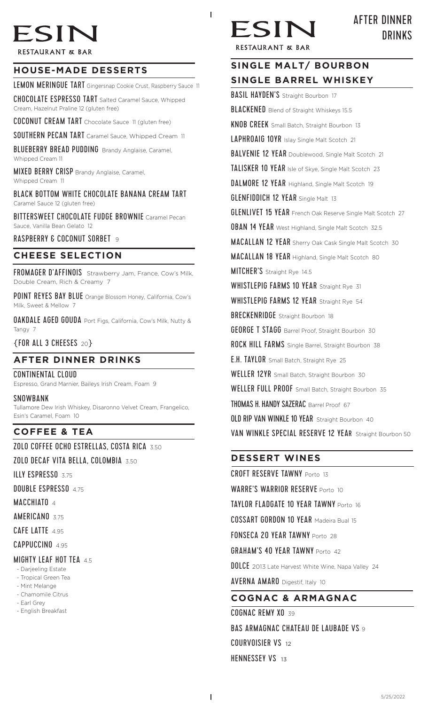# ESIN

**RESTAURANT & BAR** 

# **HOUSE-MADE DESSERTS**

LEMON MERINGUE TART Gingersnap Cookie Crust, Raspberry Sauce 11

CHOCOLATE ESPRESSO TART Salted Caramel Sauce, Whipped Cream, Hazelnut Praline 12 (gluten free)

COCONUT CREAM TART Chocolate Sauce 11 (gluten free)

SOUTHERN PECAN TART Caramel Sauce, Whipped Cream 11

BLUEBERRY BREAD PUDDING Brandy Anglaise, Caramel, Whipped Cream 11

MIXED BERRY CRISP Brandy Anglaise, Caramel, Whipped Cream 11

BLACK BOTTOM WHITE CHOCOLATE BANANA CREAM TART Caramel Sauce 12 (gluten free)

BITTERSWEET CHOCOLATE FUDGE BROWNIE Caramel Pecan Sauce, Vanilla Bean Gelato 12

RASPBERRY & COCONUT SORBET 9

#### **CHEESE SELECTION**

FROMAGER D'AFFINOIS Strawberry Jam, France, Cow's Milk, Double Cream, Rich & Creamy 7

POINT REYES BAY BLUE Orange Blossom Honey, California, Cow's Milk, Sweet & Mellow 7

OAKDALE AGED GOUDA Port Figs, California, Cow's Milk, Nutty & Tangy 7

{FOR ALL 3 CHEESES<sup>20</sup>}

## **AFTER DINNER DRINKS**

CONTINENTAL CLOUD Espresso, Grand Marnier, Baileys Irish Cream, Foam 9

**SNOWBANK** 

Tullamore Dew Irish Whiskey, Disaronno Velvet Cream, Frangelico, Esin's Caramel, Foam 10

# **COFFEE & TEA**

ZOLO COFFEE OCHO ESTRELLAS, COSTA RICA 3.50

ZOLO DECAF VITA BELLA, COLOMBIA 3.50

ILLY ESPRESSO 3.75

DOUBLE ESPRESSO 4.75

MACCHIATO 4

AMERICANO 3.75

CAFE LATTE 4.95

CAPPUCCINO 4.95

## MIGHTY LEAF HOT TEA 45

- Darjeeling Estate
- Tropical Green Tea
- Mint Melange - Chamomile Citrus
- Earl Grey
- English Breakfast



I

AFTER DINNER DRINKS

**RESTAURANT & BAR** 

# **SINGLE MALT/ BOURBON SINGLE BARREL WHISKEY BASIL HAYDEN'S** Straight Bourbon 17 **BLACKENED** Blend of Straight Whiskeys 15.5 **KNOB CREEK** Small Batch, Straight Bourbon 13 LAPHROAIG 10YR Islay Single Malt Scotch 21 BALVENIE 12 YEAR Doublewood, Single Malt Scotch 21 TALISKER 10 YEAR Isle of Skye, Single Malt Scotch 23 DALMORE 12 YEAR Highland, Single Malt Scotch 19

**GLENFIDDICH 12 YEAR** Single Malt 13

**GLENLIVET 15 YEAR** French Oak Reserve Single Malt Scotch 27

**OBAN 14 YEAR** West Highland, Single Malt Scotch 32.5

MACALLAN 12 YEAR Sherry Oak Cask Single Malt Scotch 30

MACALLAN 18 YEAR Highland, Single Malt Scotch 80

MITCHER'S Straight Rye 14.5

WHISTLEPIG FARMS 10 YEAR Straight Rye 31

WHISTLEPIG FARMS 12 YEAR Straight Rye 54

**BRECKENRIDGE** Straight Bourbon 18

**GEORGE T STAGG** Barrel Proof, Straight Bourbon 30

ROCK HILL FARMS Single Barrel, Straight Bourbon 38

**E.H. TAYLOR** Small Batch, Straight Rye 25

WELLER 12YR Small Batch, Straight Bourbon 30

WELLER FULL PROOF Small Batch, Straight Bourbon 35

THOMAS H. HANDY SAZERAC Barrel Proof 67

OLD RIP VAN WINKLE 10 YEAR Straight Bourbon 40

VAN WINKLE SPECIAL RESERVE 12 YEAR Straight Bourbon 50

## **DESSERT WINES**

CROFT RESERVE TAWNY Porto 13 WARRE'S WARRIOR RESERVE Porto 10 TAYLOR FLADGATE 10 YEAR TAWNY Porto 16 COSSART GORDON 10 YEAR Madeira Bual <sup>15</sup> FONSECA 20 YEAR TAWNY Porto 28 GRAHAM'S 40 YEAR TAWNY Porto 42 **DOLCE** 2013 Late Harvest White Wine, Napa Valley 24 AVERNA AMARO Digestif, Italy 10 **COGNAC & ARMAGNAC** COGNAC REMY XO 39

BAS ARMAGNAC CHATEAU DE LAUBADE VS 9 COURVOISIER VS 12 HENNESSEY VS 13